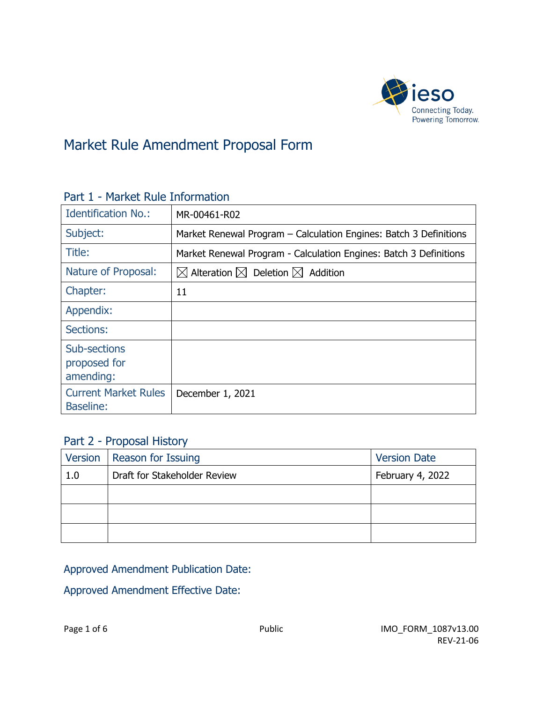

## Market Rule Amendment Proposal Form

| <b>Identification No.:</b>                      | MR-00461-R02                                                        |  |
|-------------------------------------------------|---------------------------------------------------------------------|--|
| Subject:                                        | Market Renewal Program – Calculation Engines: Batch 3 Definitions   |  |
| Title:                                          | Market Renewal Program - Calculation Engines: Batch 3 Definitions   |  |
| Nature of Proposal:                             | $\boxtimes$ Alteration $\boxtimes$ Deletion $\boxtimes$<br>Addition |  |
| Chapter:                                        | 11                                                                  |  |
| Appendix:                                       |                                                                     |  |
| Sections:                                       |                                                                     |  |
| Sub-sections<br>proposed for<br>amending:       |                                                                     |  |
| <b>Current Market Rules</b><br><b>Baseline:</b> | December 1, 2021                                                    |  |

#### Part 1 - Market Rule Information

### Part 2 - Proposal History

|     | Version   Reason for Issuing | <b>Version Date</b> |
|-----|------------------------------|---------------------|
| 1.0 | Draft for Stakeholder Review | February 4, 2022    |
|     |                              |                     |
|     |                              |                     |
|     |                              |                     |

#### Approved Amendment Publication Date:

#### Approved Amendment Effective Date: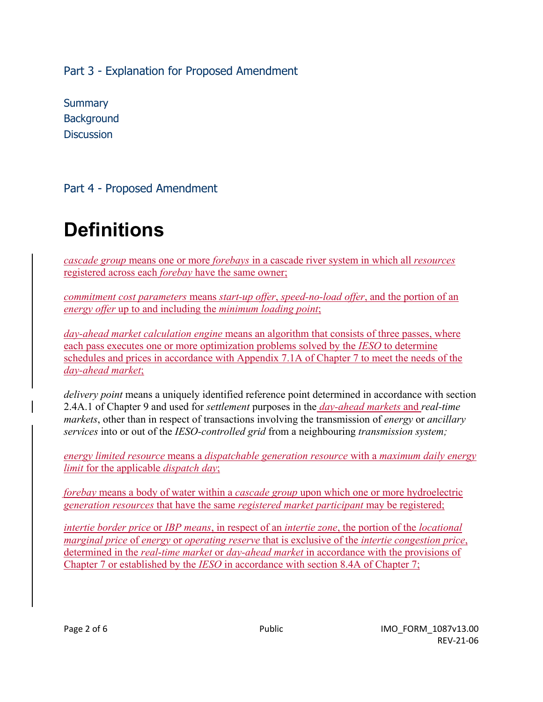Part 3 - Explanation for Proposed Amendment

**Summary Background Discussion** 

Part 4 - Proposed Amendment

# **Definitions**

*cascade group* means one or more *forebays* in a cascade river system in which all *resources*  registered across each *forebay* have the same owner;

*commitment cost parameters* means *start-up offer*, *speed-no-load offer*, and the portion of an *energy offer* up to and including the *minimum loading point*;

*day-ahead market calculation engine* means an algorithm that consists of three passes, where each pass executes one or more optimization problems solved by the *IESO* to determine schedules and prices in accordance with Appendix 7.1A of Chapter 7 to meet the needs of the *day-ahead market*;

*delivery point* means a uniquely identified reference point determined in accordance with section 2.4A.1 of Chapter 9 and used for *settlement* purposes in the *day-ahead markets* and *real-time markets*, other than in respect of transactions involving the transmission of *energy* or *ancillary services* into or out of the *IESO-controlled grid* from a neighbouring *transmission system;*

*energy limited resource* means a *dispatchable generation resource* with a *maximum daily energy limit* for the applicable *dispatch day*;

*forebay* means a body of water within a *cascade group* upon which one or more hydroelectric *generation resources* that have the same *registered market participant* may be registered;

*intertie border price* or *IBP means*, in respect of an *intertie zone*, the portion of the *locational marginal price* of *energy* or *operating reserve* that is exclusive of the *intertie congestion price*, determined in the *real*-*time market* or *day-ahead market* in accordance with the provisions of Chapter 7 or established by the *IESO* in accordance with section 8.4A of Chapter 7;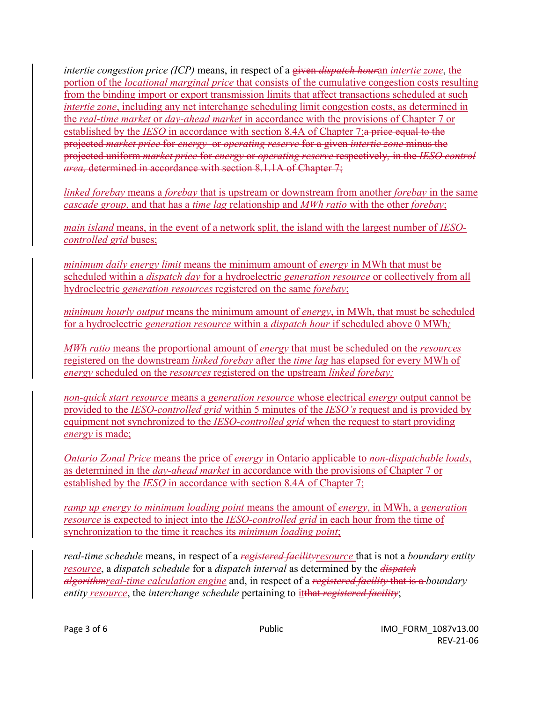*intertie congestion price (ICP)* means, in respect of a given *dispatch hour*an *intertie zone*, the portion of the *locational marginal price* that consists of the cumulative congestion costs resulting from the binding import or export transmission limits that affect transactions scheduled at such *intertie zone*, including any net interchange scheduling limit congestion costs, as determined in the *real*-*time market* or *day-ahead market* in accordance with the provisions of Chapter 7 or established by the *IESO* in accordance with section 8.4A of Chapter 7;a price equal to the projected *market price* for *energy* or *operating reserve* for a given *intertie zone* minus the projected uniform *market price* for *energy* or *operating reserve* respectively*,* in the *IESO control area,* determined in accordance with section 8.1.1A of Chapter 7;

*linked forebay* means a *forebay* that is upstream or downstream from another *forebay* in the same *cascade group*, and that has a *time lag* relationship and *MWh ratio* with the other *forebay*;

*main island* means, in the event of a network split, the island with the largest number of *IESOcontrolled grid* buses;

*minimum daily energy limit* means the minimum amount of *energy* in MWh that must be scheduled within a *dispatch day* for a hydroelectric *generation resource* or collectively from all hydroelectric *generation resources* registered on the same *forebay*;

*minimum hourly output* means the minimum amount of *energy*, in MWh, that must be scheduled for a hydroelectric *generation resource* within a *dispatch hour* if scheduled above 0 MWh*;* 

*MWh ratio* means the proportional amount of *energy* that must be scheduled on the *resources*  registered on the downstream *linked forebay* after the *time lag* has elapsed for every MWh of *energy* scheduled on the *resources* registered on the upstream *linked forebay;* 

*non-quick start resource* means a *generation resource* whose electrical *energy* output cannot be provided to the *IESO-controlled grid* within 5 minutes of the *IESO's* request and is provided by equipment not synchronized to the *IESO-controlled grid* when the request to start providing *energy* is made;

*Ontario Zonal Price* means the price of *energy* in Ontario applicable to *non-dispatchable loads*, as determined in the *day-ahead market* in accordance with the provisions of Chapter 7 or established by the *IESO* in accordance with section 8.4A of Chapter 7;

*ramp up energy to minimum loading point* means the amount of *energy*, in MWh, a *generation resource* is expected to inject into the *IESO-controlled grid* in each hour from the time of synchronization to the time it reaches its *minimum loading point*;

*real-time schedule* means, in respect of a *registered facilityresource* that is not a *boundary entity resource*, a *dispatch schedule* for a *dispatch interval* as determined by the *dispatch algorithmreal-time calculation engine* and, in respect of a *registered facility* that is a *boundary entity resource*, the *interchange schedule* pertaining to itthat *registered facility*;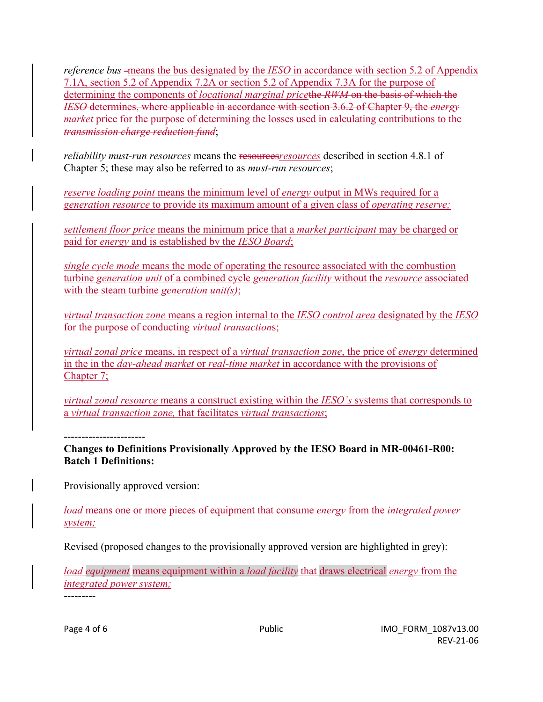*reference bus* -means the bus designated by the *IESO* in accordance with section 5.2 of Appendix 7.1A, section 5.2 of Appendix 7.2A or section 5.2 of Appendix 7.3A for the purpose of determining the components of *locational marginal price*the *RWM* on the basis of which the *IESO* determines, where applicable in accordance with section 3.6.2 of Chapter 9, the *energy market* price for the purpose of determining the losses used in calculating contributions to the *transmission charge reduction fund*;

*reliability must-run resources* means the **resources** *resources* described in section 4.8.1 of Chapter 5; these may also be referred to as *must-run resources*;

*reserve loading point* means the minimum level of *energy* output in MWs required for a *generation resource* to provide its maximum amount of a given class of *operating reserve;* 

*settlement floor price* means the minimum price that a *market participant* may be charged or paid for *energy* and is established by the *IESO Board*;

*single cycle mode* means the mode of operating the resource associated with the combustion turbine *generation unit* of a combined cycle *generation facility* without the *resource* associated with the steam turbine *generation unit(s)*;

*virtual transaction zone* means a region internal to the *IESO control area* designated by the *IESO* for the purpose of conducting *virtual transaction*s;

*virtual zonal price* means, in respect of a *virtual transaction zone*, the price of *energy* determined in the in the *day-ahead market* or *real-time market* in accordance with the provisions of Chapter 7;

*virtual zonal resource* means a construct existing within the *IESO's* systems that corresponds to a *virtual transaction zone,* that facilitates *virtual transactions*;

-----------------------

**Changes to Definitions Provisionally Approved by the IESO Board in MR-00461-R00: Batch 1 Definitions:**

Provisionally approved version:

*load* means one or more pieces of equipment that consume *energy* from the *integrated power system;* 

Revised (proposed changes to the provisionally approved version are highlighted in grey):

*load equipment* means equipment within a *load facility* that draws electrical *energy* from the *integrated power system;*

---------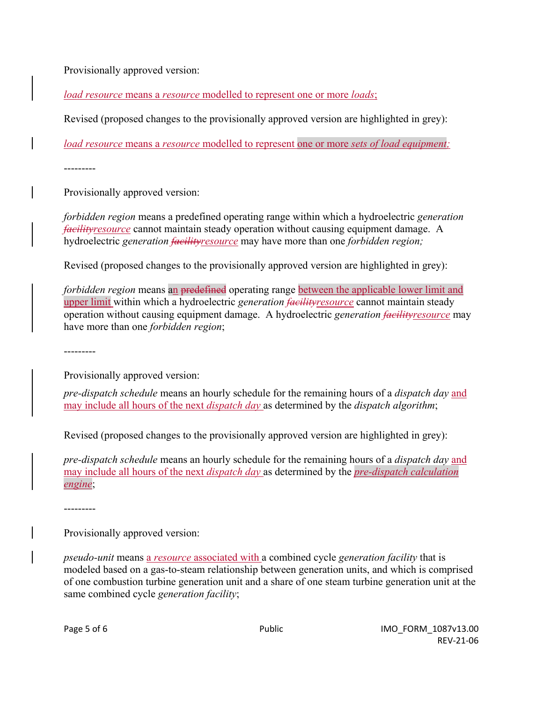Provisionally approved version:

*load resource* means a *resource* modelled to represent one or more *loads*;

Revised (proposed changes to the provisionally approved version are highlighted in grey):

*load resource* means a *resource* modelled to represent one or more *sets of load equipment;* 

---------

Provisionally approved version:

*forbidden region* means a predefined operating range within which a hydroelectric *generation facilityresource* cannot maintain steady operation without causing equipment damage. A hydroelectric *generation facilityresource* may have more than one *forbidden region;*

Revised (proposed changes to the provisionally approved version are highlighted in grey):

*forbidden region* means an predefined operating range between the applicable lower limit and upper limit within which a hydroelectric *generation facilityresource* cannot maintain steady operation without causing equipment damage. A hydroelectric *generation facilityresource* may have more than one *forbidden region*;

---------

Provisionally approved version:

*pre-dispatch schedule* means an hourly schedule for the remaining hours of a *dispatch day* and may include all hours of the next *dispatch day* as determined by the *dispatch algorithm*;

Revised (proposed changes to the provisionally approved version are highlighted in grey):

*pre-dispatch schedule* means an hourly schedule for the remaining hours of a *dispatch day* and may include all hours of the next *dispatch day* as determined by the *pre-dispatch calculation engine*;

---------

Provisionally approved version:

*pseudo-unit* means a *resource* associated with a combined cycle *generation facility* that is modeled based on a gas-to-steam relationship between generation units, and which is comprised of one combustion turbine generation unit and a share of one steam turbine generation unit at the same combined cycle *generation facility*;